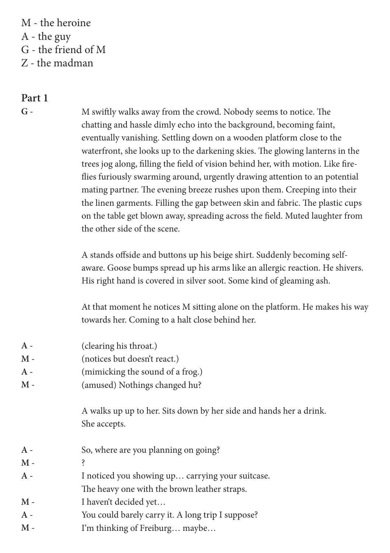M - the heroine A - the guy G - the friend of M Z - the madman

## **Part 1**

**G -**

M swiftly walks away from the crowd. Nobody seems to notice. The chatting and hassle dimly echo into the background, becoming faint, eventually vanishing. Settling down on a wooden platform close to the waterfront, she looks up to the darkening skies. The glowing lanterns in the trees jog along, filling the field of vision behind her, with motion. Like fireflies furiously swarming around, urgently drawing attention to an potential mating partner. The evening breeze rushes upon them. Creeping into their the linen garments. Filling the gap between skin and fabric. The plastic cups on the table get blown away, spreading across the field. Muted laughter from the other side of the scene.

A stands offside and buttons up his beige shirt. Suddenly becoming selfaware. Goose bumps spread up his arms like an allergic reaction. He shivers. His right hand is covered in silver soot. Some kind of gleaming ash.

At that moment he notices M sitting alone on the platform. He makes his way towards her. Coming to a halt close behind her.

- (clearing his throat.) **A -**
- (notices but doesn't react.) **M -**
- (mimicking the sound of a frog.) **A -**
- (amused) Nothings changed hu? **M -**

A walks up up to her. Sits down by her side and hands her a drink. She accepts.

- So, where are you planning on going? **A -**
- **M -**
- I noticed you showing up… carrying your suitcase. **A -**
- The heavy one with the brown leather straps.
- I haven't decided yet… **M -**

?

- You could barely carry it. A long trip I suppose? **A -**
- I'm thinking of Freiburg… maybe… **M -**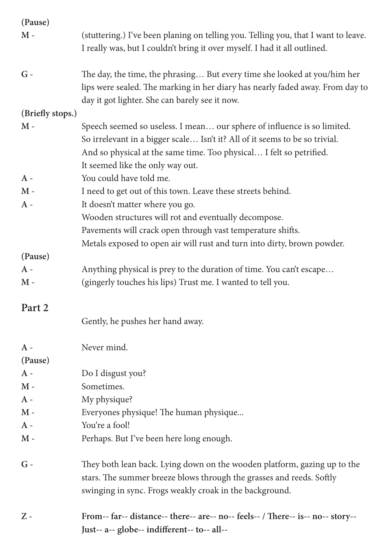| (Pause)          |                                                                                    |
|------------------|------------------------------------------------------------------------------------|
| $M -$            | (stuttering.) I've been planing on telling you. Telling you, that I want to leave. |
|                  | I really was, but I couldn't bring it over myself. I had it all outlined.          |
| $G -$            | The day, the time, the phrasing But every time she looked at you/him her           |
|                  | lips were sealed. The marking in her diary has nearly faded away. From day to      |
|                  | day it got lighter. She can barely see it now.                                     |
| (Briefly stops.) |                                                                                    |
| $M -$            | Speech seemed so useless. I mean our sphere of influence is so limited.            |
|                  | So irrelevant in a bigger scale Isn't it? All of it seems to be so trivial.        |
|                  | And so physical at the same time. Too physical I felt so petrified.                |
|                  | It seemed like the only way out.                                                   |
| $A -$            | You could have told me.                                                            |
| $M -$            | I need to get out of this town. Leave these streets behind.                        |
| $A -$            | It doesn't matter where you go.                                                    |
|                  | Wooden structures will rot and eventually decompose.                               |
|                  | Pavements will crack open through vast temperature shifts.                         |
|                  | Metals exposed to open air will rust and turn into dirty, brown powder.            |
| (Pause)          |                                                                                    |
| $A -$            | Anything physical is prey to the duration of time. You can't escape                |
| $M -$            | (gingerly touches his lips) Trust me. I wanted to tell you.                        |
| Part 2           |                                                                                    |
|                  | Gently, he pushes her hand away.                                                   |
| $A -$            | Never mind.                                                                        |
| (Pause)          |                                                                                    |
| $A -$            | Do I disgust you?                                                                  |
| $M -$            | Sometimes.                                                                         |
| $A -$            | My physique?                                                                       |
| $M -$            | Everyones physique! The human physique                                             |
| $A -$            | You're a fool!                                                                     |
| $\mathbf M$ -    | Perhaps. But I've been here long enough.                                           |
| $G -$            | They both lean back. Lying down on the wooden platform, gazing up to the           |
|                  | stars. The summer breeze blows through the grasses and reeds. Softly               |
|                  | swinging in sync. Frogs weakly croak in the background.                            |
| $Z -$            | From-- far-- distance-- there-- are-- no-- feels-- / There-- is-- no-- story--     |
|                  | Just-- a-- globe-- indifferent-- to-- all--                                        |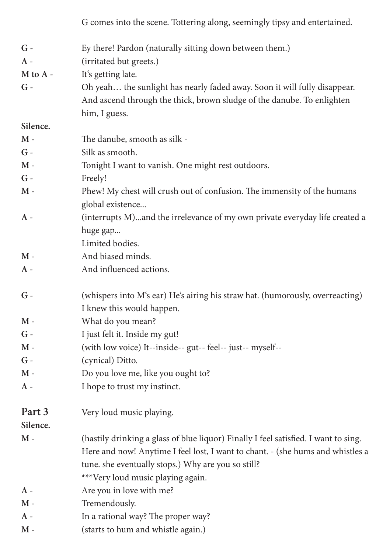G comes into the scene. Tottering along, seemingly tipsy and entertained.

| $G -$          | Ey there! Pardon (naturally sitting down between them.)                                     |
|----------------|---------------------------------------------------------------------------------------------|
| $A -$          | (irritated but greets.)                                                                     |
| M to A -       | It's getting late.                                                                          |
| $G -$          | Oh yeah the sunlight has nearly faded away. Soon it will fully disappear.                   |
|                | And ascend through the thick, brown sludge of the danube. To enlighten                      |
|                | him, I guess.                                                                               |
| Silence.       |                                                                                             |
| $M -$          | The danube, smooth as silk -                                                                |
| $G -$          | Silk as smooth.                                                                             |
| $M -$          | Tonight I want to vanish. One might rest outdoors.                                          |
| $G -$          | Freely!                                                                                     |
| $M -$          | Phew! My chest will crush out of confusion. The immensity of the humans<br>global existence |
| $A -$          | (interrupts M)and the irrelevance of my own private everyday life created a                 |
|                | huge gap                                                                                    |
|                | Limited bodies.                                                                             |
| $\mathbf{M}$ - | And biased minds.                                                                           |
| $A -$          | And influenced actions.                                                                     |
|                |                                                                                             |
| $G -$          | (whispers into M's ear) He's airing his straw hat. (humorously, overreacting)               |
|                | I knew this would happen.                                                                   |
| $M -$          | What do you mean?                                                                           |
| $G -$          | I just felt it. Inside my gut!                                                              |
| $M -$          | (with low voice) It--inside-- gut-- feel-- just-- myself--                                  |
| $G -$          | (cynical) Ditto.                                                                            |
| $M -$          | Do you love me, like you ought to?                                                          |
| $A -$          | I hope to trust my instinct.                                                                |
| Part 3         | Very loud music playing.                                                                    |
| Silence.       |                                                                                             |
| $M -$          | (hastily drinking a glass of blue liquor) Finally I feel satisfied. I want to sing.         |
|                | Here and now! Anytime I feel lost, I want to chant. - (she hums and whistles a              |
|                | tune. she eventually stops.) Why are you so still?                                          |
|                | ***Very loud music playing again.                                                           |
| A -            | Are you in love with me?                                                                    |
| $M -$          | Tremendously.                                                                               |
| A -            | In a rational way? The proper way?                                                          |
| $\mathbf M$ -  | (starts to hum and whistle again.)                                                          |